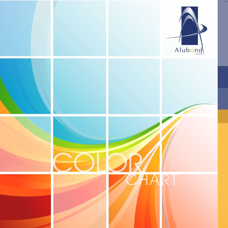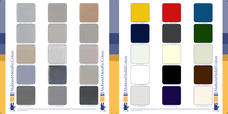Alubond Solid Colors olors Solid puo Alub 

 $\mathbf{C}$ 

 $\Delta$ lubond

Alubond

 $\mathbf{1}$  and  $\mathbf{1}$ 



 $\text{Alubong}_\text{USA}$ 

Alubond Metallic Colors Alubond Metallic



Color variation may occur between panels from different production batches. If color consistency is required, do not mix different batches. Please order the total requirements for one particular building in a single order<br>